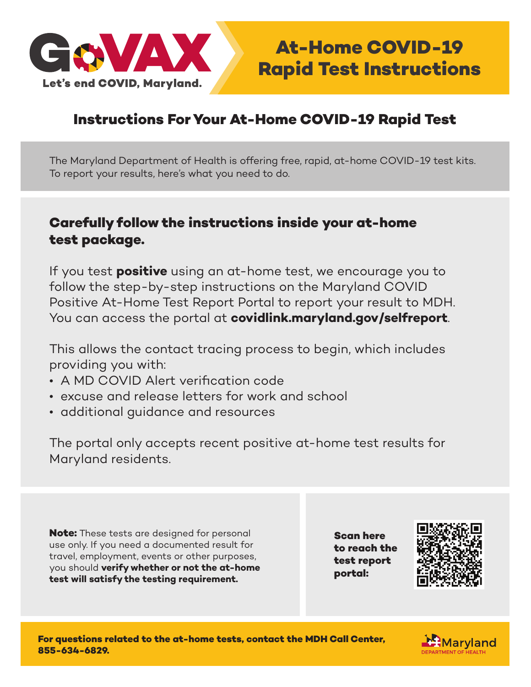

## **Instructions For Your At-Home COVID-19 Rapid Test**

The Maryland Department of Health is offering free, rapid, at-home COVID-19 test kits. To report your results, here's what you need to do.

### **Carefully follow the instructions inside your at-home test package.**

If you test **positive** using an at-home test, we encourage you to follow the step-by-step instructions on the Maryland COVID Positive At-Home Test Report Portal to report your result to MDH. You can access the portal at **covidlink.maryland.gov/selfreport**.

This allows the contact tracing process to begin, which includes providing you with:

- A MD COVID Alert verification code
- excuse and release letters for work and school
- additional guidance and resources

The portal only accepts recent positive at-home test results for Maryland residents.

**Note:** These tests are designed for personal use only. If you need a documented result for travel, employment, events or other purposes, you should **verify whether or not the at-home test will satisfy the testing requirement.** 

**Scan here to reach the test report portal:**